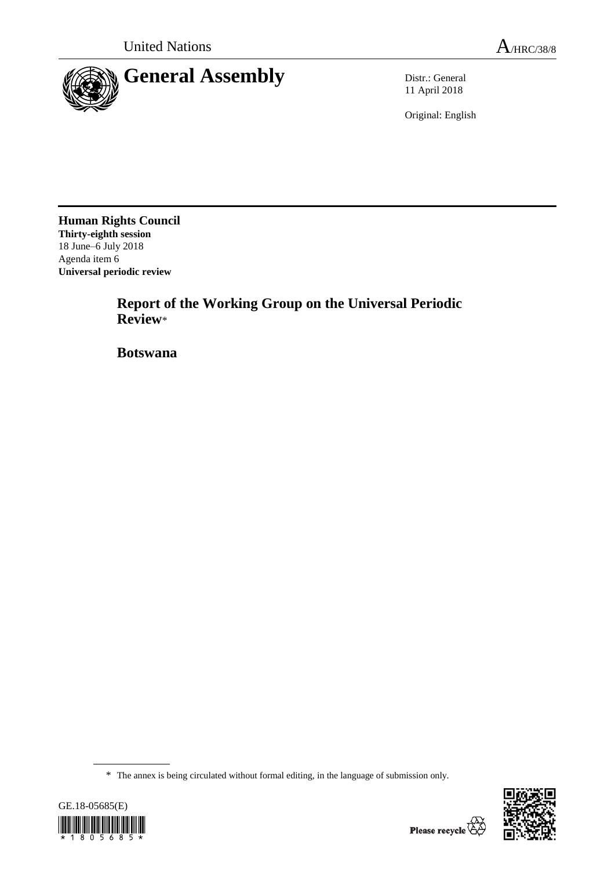

11 April 2018

Original: English

**Human Rights Council Thirty-eighth session** 18 June–6 July 2018 Agenda item 6 **Universal periodic review**

> **Report of the Working Group on the Universal Periodic Review**\*

**Botswana**

<sup>\*</sup> The annex is being circulated without formal editing, in the language of submission only.



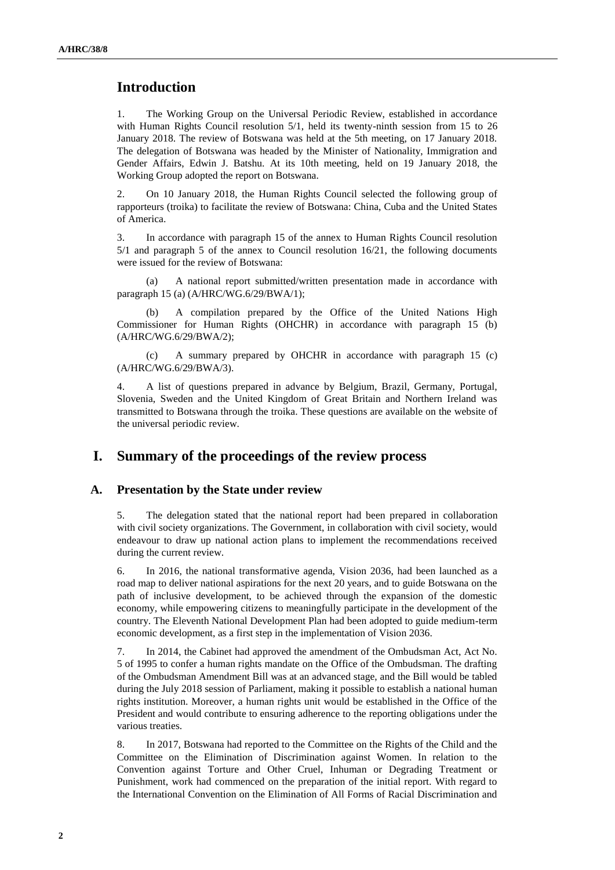# **Introduction**

1. The Working Group on the Universal Periodic Review, established in accordance with Human Rights Council resolution 5/1, held its twenty-ninth session from 15 to 26 January 2018. The review of Botswana was held at the 5th meeting, on 17 January 2018. The delegation of Botswana was headed by the Minister of Nationality, Immigration and Gender Affairs, Edwin J. Batshu. At its 10th meeting, held on 19 January 2018, the Working Group adopted the report on Botswana.

2. On 10 January 2018, the Human Rights Council selected the following group of rapporteurs (troika) to facilitate the review of Botswana: China, Cuba and the United States of America.

3. In accordance with paragraph 15 of the annex to Human Rights Council resolution 5/1 and paragraph 5 of the annex to Council resolution 16/21, the following documents were issued for the review of Botswana:

(a) A national report submitted/written presentation made in accordance with paragraph 15 (a) (A/HRC/WG.6/29/BWA/1);

(b) A compilation prepared by the Office of the United Nations High Commissioner for Human Rights (OHCHR) in accordance with paragraph 15 (b) (A/HRC/WG.6/29/BWA/2);

(c) A summary prepared by OHCHR in accordance with paragraph 15 (c) (A/HRC/WG.6/29/BWA/3).

4. A list of questions prepared in advance by Belgium, Brazil, Germany, Portugal, Slovenia, Sweden and the United Kingdom of Great Britain and Northern Ireland was transmitted to Botswana through the troika. These questions are available on the website of the universal periodic review.

# **I. Summary of the proceedings of the review process**

#### **A. Presentation by the State under review**

5. The delegation stated that the national report had been prepared in collaboration with civil society organizations. The Government, in collaboration with civil society, would endeavour to draw up national action plans to implement the recommendations received during the current review.

6. In 2016, the national transformative agenda, Vision 2036, had been launched as a road map to deliver national aspirations for the next 20 years, and to guide Botswana on the path of inclusive development, to be achieved through the expansion of the domestic economy, while empowering citizens to meaningfully participate in the development of the country. The Eleventh National Development Plan had been adopted to guide medium-term economic development, as a first step in the implementation of Vision 2036.

7. In 2014, the Cabinet had approved the amendment of the Ombudsman Act, Act No. 5 of 1995 to confer a human rights mandate on the Office of the Ombudsman. The drafting of the Ombudsman Amendment Bill was at an advanced stage, and the Bill would be tabled during the July 2018 session of Parliament, making it possible to establish a national human rights institution. Moreover, a human rights unit would be established in the Office of the President and would contribute to ensuring adherence to the reporting obligations under the various treaties.

8. In 2017, Botswana had reported to the Committee on the Rights of the Child and the Committee on the Elimination of Discrimination against Women. In relation to the Convention against Torture and Other Cruel, Inhuman or Degrading Treatment or Punishment, work had commenced on the preparation of the initial report. With regard to the International Convention on the Elimination of All Forms of Racial Discrimination and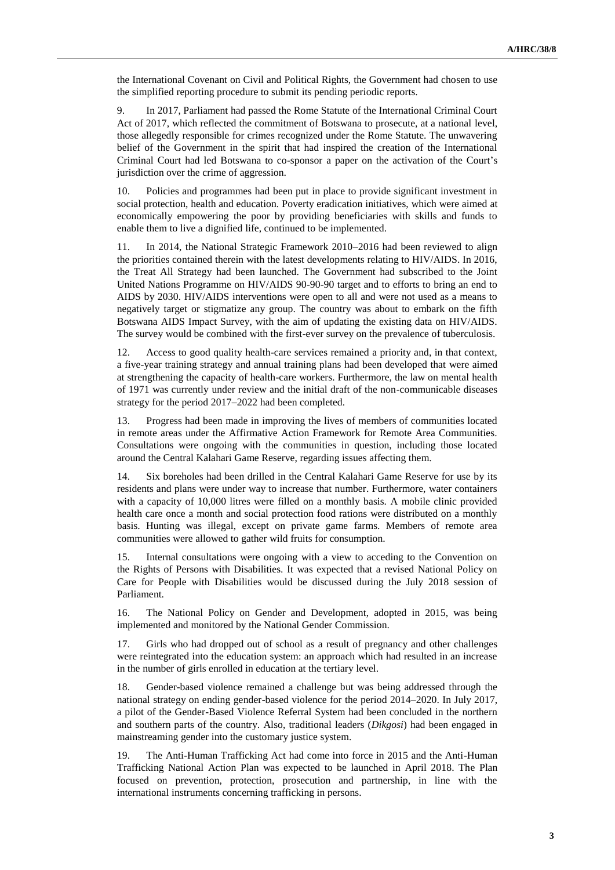the International Covenant on Civil and Political Rights, the Government had chosen to use the simplified reporting procedure to submit its pending periodic reports.

9. In 2017, Parliament had passed the Rome Statute of the International Criminal Court Act of 2017, which reflected the commitment of Botswana to prosecute, at a national level, those allegedly responsible for crimes recognized under the Rome Statute. The unwavering belief of the Government in the spirit that had inspired the creation of the International Criminal Court had led Botswana to co-sponsor a paper on the activation of the Court's jurisdiction over the crime of aggression.

10. Policies and programmes had been put in place to provide significant investment in social protection, health and education. Poverty eradication initiatives, which were aimed at economically empowering the poor by providing beneficiaries with skills and funds to enable them to live a dignified life, continued to be implemented.

11. In 2014, the National Strategic Framework 2010–2016 had been reviewed to align the priorities contained therein with the latest developments relating to HIV/AIDS. In 2016, the Treat All Strategy had been launched. The Government had subscribed to the Joint United Nations Programme on HIV/AIDS 90-90-90 target and to efforts to bring an end to AIDS by 2030. HIV/AIDS interventions were open to all and were not used as a means to negatively target or stigmatize any group. The country was about to embark on the fifth Botswana AIDS Impact Survey, with the aim of updating the existing data on HIV/AIDS. The survey would be combined with the first-ever survey on the prevalence of tuberculosis.

12. Access to good quality health-care services remained a priority and, in that context, a five-year training strategy and annual training plans had been developed that were aimed at strengthening the capacity of health-care workers. Furthermore, the law on mental health of 1971 was currently under review and the initial draft of the non-communicable diseases strategy for the period 2017–2022 had been completed.

13. Progress had been made in improving the lives of members of communities located in remote areas under the Affirmative Action Framework for Remote Area Communities. Consultations were ongoing with the communities in question, including those located around the Central Kalahari Game Reserve, regarding issues affecting them.

14. Six boreholes had been drilled in the Central Kalahari Game Reserve for use by its residents and plans were under way to increase that number. Furthermore, water containers with a capacity of 10,000 litres were filled on a monthly basis. A mobile clinic provided health care once a month and social protection food rations were distributed on a monthly basis. Hunting was illegal, except on private game farms. Members of remote area communities were allowed to gather wild fruits for consumption.

15. Internal consultations were ongoing with a view to acceding to the Convention on the Rights of Persons with Disabilities. It was expected that a revised National Policy on Care for People with Disabilities would be discussed during the July 2018 session of Parliament.

16. The National Policy on Gender and Development, adopted in 2015, was being implemented and monitored by the National Gender Commission.

17. Girls who had dropped out of school as a result of pregnancy and other challenges were reintegrated into the education system: an approach which had resulted in an increase in the number of girls enrolled in education at the tertiary level.

18. Gender-based violence remained a challenge but was being addressed through the national strategy on ending gender-based violence for the period 2014–2020. In July 2017, a pilot of the Gender-Based Violence Referral System had been concluded in the northern and southern parts of the country. Also, traditional leaders (*Dikgosi*) had been engaged in mainstreaming gender into the customary justice system.

19. The Anti-Human Trafficking Act had come into force in 2015 and the Anti-Human Trafficking National Action Plan was expected to be launched in April 2018. The Plan focused on prevention, protection, prosecution and partnership, in line with the international instruments concerning trafficking in persons.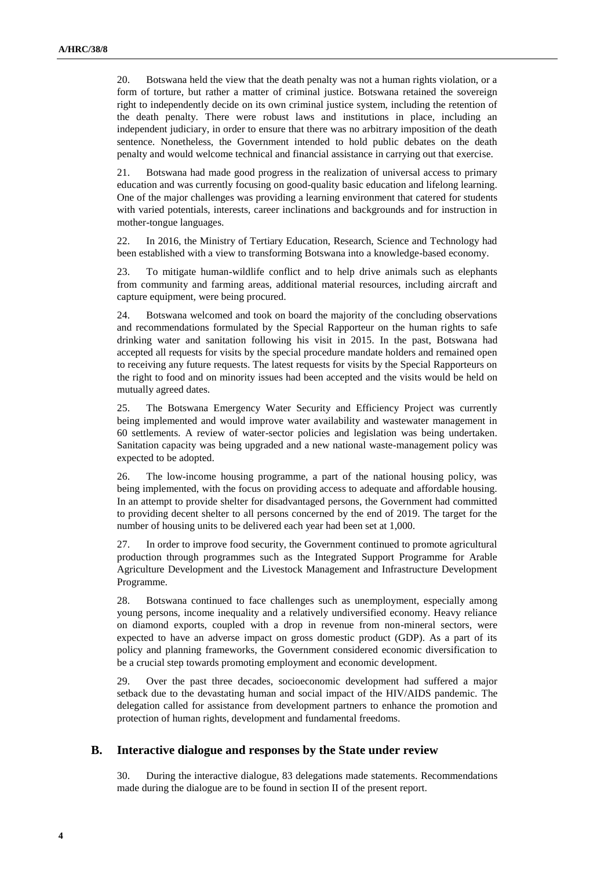20. Botswana held the view that the death penalty was not a human rights violation, or a form of torture, but rather a matter of criminal justice. Botswana retained the sovereign right to independently decide on its own criminal justice system, including the retention of the death penalty. There were robust laws and institutions in place, including an independent judiciary, in order to ensure that there was no arbitrary imposition of the death sentence. Nonetheless, the Government intended to hold public debates on the death penalty and would welcome technical and financial assistance in carrying out that exercise.

21. Botswana had made good progress in the realization of universal access to primary education and was currently focusing on good-quality basic education and lifelong learning. One of the major challenges was providing a learning environment that catered for students with varied potentials, interests, career inclinations and backgrounds and for instruction in mother-tongue languages.

22. In 2016, the Ministry of Tertiary Education, Research, Science and Technology had been established with a view to transforming Botswana into a knowledge-based economy.

23. To mitigate human-wildlife conflict and to help drive animals such as elephants from community and farming areas, additional material resources, including aircraft and capture equipment, were being procured.

24. Botswana welcomed and took on board the majority of the concluding observations and recommendations formulated by the Special Rapporteur on the human rights to safe drinking water and sanitation following his visit in 2015. In the past, Botswana had accepted all requests for visits by the special procedure mandate holders and remained open to receiving any future requests. The latest requests for visits by the Special Rapporteurs on the right to food and on minority issues had been accepted and the visits would be held on mutually agreed dates.

25. The Botswana Emergency Water Security and Efficiency Project was currently being implemented and would improve water availability and wastewater management in 60 settlements. A review of water-sector policies and legislation was being undertaken. Sanitation capacity was being upgraded and a new national waste-management policy was expected to be adopted.

26. The low-income housing programme, a part of the national housing policy, was being implemented, with the focus on providing access to adequate and affordable housing. In an attempt to provide shelter for disadvantaged persons, the Government had committed to providing decent shelter to all persons concerned by the end of 2019. The target for the number of housing units to be delivered each year had been set at 1,000.

27. In order to improve food security, the Government continued to promote agricultural production through programmes such as the Integrated Support Programme for Arable Agriculture Development and the Livestock Management and Infrastructure Development Programme.

28. Botswana continued to face challenges such as unemployment, especially among young persons, income inequality and a relatively undiversified economy. Heavy reliance on diamond exports, coupled with a drop in revenue from non-mineral sectors, were expected to have an adverse impact on gross domestic product (GDP). As a part of its policy and planning frameworks, the Government considered economic diversification to be a crucial step towards promoting employment and economic development.

29. Over the past three decades, socioeconomic development had suffered a major setback due to the devastating human and social impact of the HIV/AIDS pandemic. The delegation called for assistance from development partners to enhance the promotion and protection of human rights, development and fundamental freedoms.

#### **B. Interactive dialogue and responses by the State under review**

30. During the interactive dialogue, 83 delegations made statements. Recommendations made during the dialogue are to be found in section II of the present report.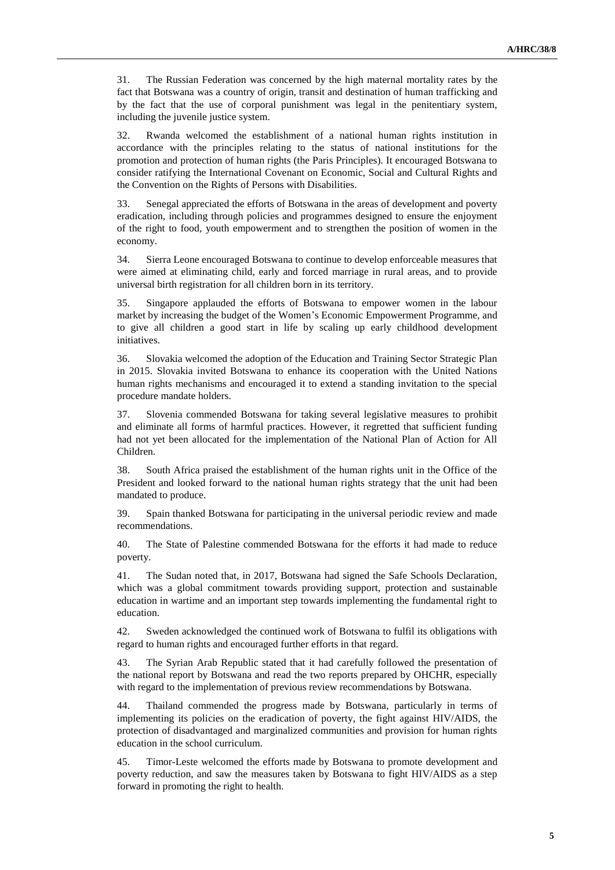31. The Russian Federation was concerned by the high maternal mortality rates by the fact that Botswana was a country of origin, transit and destination of human trafficking and by the fact that the use of corporal punishment was legal in the penitentiary system, including the juvenile justice system.

32. Rwanda welcomed the establishment of a national human rights institution in accordance with the principles relating to the status of national institutions for the promotion and protection of human rights (the Paris Principles). It encouraged Botswana to consider ratifying the International Covenant on Economic, Social and Cultural Rights and the Convention on the Rights of Persons with Disabilities.

33. Senegal appreciated the efforts of Botswana in the areas of development and poverty eradication, including through policies and programmes designed to ensure the enjoyment of the right to food, youth empowerment and to strengthen the position of women in the economy.

34. Sierra Leone encouraged Botswana to continue to develop enforceable measures that were aimed at eliminating child, early and forced marriage in rural areas, and to provide universal birth registration for all children born in its territory.

35. Singapore applauded the efforts of Botswana to empower women in the labour market by increasing the budget of the Women's Economic Empowerment Programme, and to give all children a good start in life by scaling up early childhood development initiatives.

36. Slovakia welcomed the adoption of the Education and Training Sector Strategic Plan in 2015. Slovakia invited Botswana to enhance its cooperation with the United Nations human rights mechanisms and encouraged it to extend a standing invitation to the special procedure mandate holders.

37. Slovenia commended Botswana for taking several legislative measures to prohibit and eliminate all forms of harmful practices. However, it regretted that sufficient funding had not yet been allocated for the implementation of the National Plan of Action for All Children.

38. South Africa praised the establishment of the human rights unit in the Office of the President and looked forward to the national human rights strategy that the unit had been mandated to produce.

39. Spain thanked Botswana for participating in the universal periodic review and made recommendations.

40. The State of Palestine commended Botswana for the efforts it had made to reduce poverty.

41. The Sudan noted that, in 2017, Botswana had signed the Safe Schools Declaration, which was a global commitment towards providing support, protection and sustainable education in wartime and an important step towards implementing the fundamental right to education.

42. Sweden acknowledged the continued work of Botswana to fulfil its obligations with regard to human rights and encouraged further efforts in that regard.

43. The Syrian Arab Republic stated that it had carefully followed the presentation of the national report by Botswana and read the two reports prepared by OHCHR, especially with regard to the implementation of previous review recommendations by Botswana.

44. Thailand commended the progress made by Botswana, particularly in terms of implementing its policies on the eradication of poverty, the fight against HIV/AIDS, the protection of disadvantaged and marginalized communities and provision for human rights education in the school curriculum.

45. Timor-Leste welcomed the efforts made by Botswana to promote development and poverty reduction, and saw the measures taken by Botswana to fight HIV/AIDS as a step forward in promoting the right to health.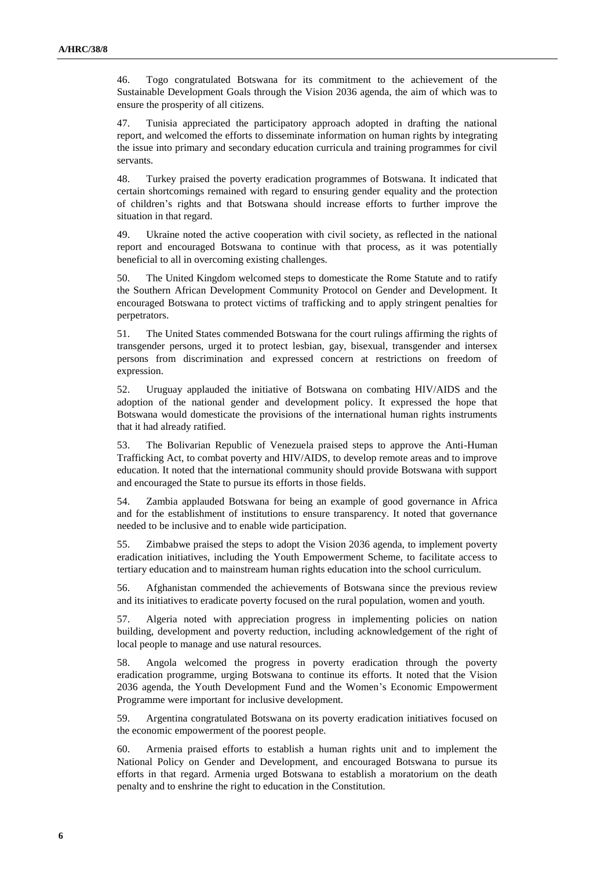46. Togo congratulated Botswana for its commitment to the achievement of the Sustainable Development Goals through the Vision 2036 agenda, the aim of which was to ensure the prosperity of all citizens.

47. Tunisia appreciated the participatory approach adopted in drafting the national report, and welcomed the efforts to disseminate information on human rights by integrating the issue into primary and secondary education curricula and training programmes for civil servants.

48. Turkey praised the poverty eradication programmes of Botswana. It indicated that certain shortcomings remained with regard to ensuring gender equality and the protection of children's rights and that Botswana should increase efforts to further improve the situation in that regard.

49. Ukraine noted the active cooperation with civil society, as reflected in the national report and encouraged Botswana to continue with that process, as it was potentially beneficial to all in overcoming existing challenges.

50. The United Kingdom welcomed steps to domesticate the Rome Statute and to ratify the Southern African Development Community Protocol on Gender and Development. It encouraged Botswana to protect victims of trafficking and to apply stringent penalties for perpetrators.

51. The United States commended Botswana for the court rulings affirming the rights of transgender persons, urged it to protect lesbian, gay, bisexual, transgender and intersex persons from discrimination and expressed concern at restrictions on freedom of expression.

52. Uruguay applauded the initiative of Botswana on combating HIV/AIDS and the adoption of the national gender and development policy. It expressed the hope that Botswana would domesticate the provisions of the international human rights instruments that it had already ratified.

53. The Bolivarian Republic of Venezuela praised steps to approve the Anti-Human Trafficking Act, to combat poverty and HIV/AIDS, to develop remote areas and to improve education. It noted that the international community should provide Botswana with support and encouraged the State to pursue its efforts in those fields.

54. Zambia applauded Botswana for being an example of good governance in Africa and for the establishment of institutions to ensure transparency. It noted that governance needed to be inclusive and to enable wide participation.

55. Zimbabwe praised the steps to adopt the Vision 2036 agenda, to implement poverty eradication initiatives, including the Youth Empowerment Scheme, to facilitate access to tertiary education and to mainstream human rights education into the school curriculum.

56. Afghanistan commended the achievements of Botswana since the previous review and its initiatives to eradicate poverty focused on the rural population, women and youth.

57. Algeria noted with appreciation progress in implementing policies on nation building, development and poverty reduction, including acknowledgement of the right of local people to manage and use natural resources.

58. Angola welcomed the progress in poverty eradication through the poverty eradication programme, urging Botswana to continue its efforts. It noted that the Vision 2036 agenda, the Youth Development Fund and the Women's Economic Empowerment Programme were important for inclusive development.

59. Argentina congratulated Botswana on its poverty eradication initiatives focused on the economic empowerment of the poorest people.

60. Armenia praised efforts to establish a human rights unit and to implement the National Policy on Gender and Development, and encouraged Botswana to pursue its efforts in that regard. Armenia urged Botswana to establish a moratorium on the death penalty and to enshrine the right to education in the Constitution.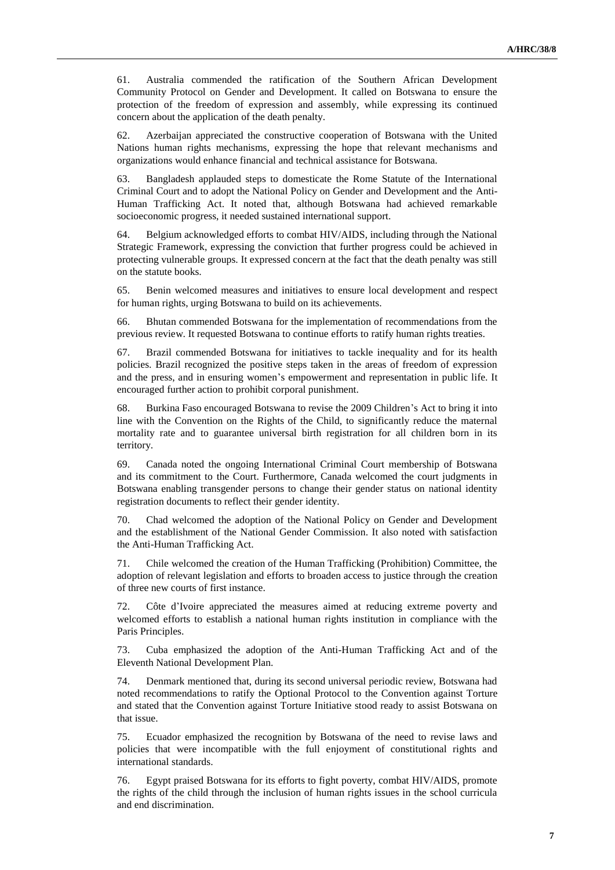61. Australia commended the ratification of the Southern African Development Community Protocol on Gender and Development. It called on Botswana to ensure the protection of the freedom of expression and assembly, while expressing its continued concern about the application of the death penalty.

62. Azerbaijan appreciated the constructive cooperation of Botswana with the United Nations human rights mechanisms, expressing the hope that relevant mechanisms and organizations would enhance financial and technical assistance for Botswana.

63. Bangladesh applauded steps to domesticate the Rome Statute of the International Criminal Court and to adopt the National Policy on Gender and Development and the Anti-Human Trafficking Act. It noted that, although Botswana had achieved remarkable socioeconomic progress, it needed sustained international support.

64. Belgium acknowledged efforts to combat HIV/AIDS, including through the National Strategic Framework, expressing the conviction that further progress could be achieved in protecting vulnerable groups. It expressed concern at the fact that the death penalty was still on the statute books.

65. Benin welcomed measures and initiatives to ensure local development and respect for human rights, urging Botswana to build on its achievements.

66. Bhutan commended Botswana for the implementation of recommendations from the previous review. It requested Botswana to continue efforts to ratify human rights treaties.

67. Brazil commended Botswana for initiatives to tackle inequality and for its health policies. Brazil recognized the positive steps taken in the areas of freedom of expression and the press, and in ensuring women's empowerment and representation in public life. It encouraged further action to prohibit corporal punishment.

68. Burkina Faso encouraged Botswana to revise the 2009 Children's Act to bring it into line with the Convention on the Rights of the Child, to significantly reduce the maternal mortality rate and to guarantee universal birth registration for all children born in its territory.

69. Canada noted the ongoing International Criminal Court membership of Botswana and its commitment to the Court. Furthermore, Canada welcomed the court judgments in Botswana enabling transgender persons to change their gender status on national identity registration documents to reflect their gender identity.

70. Chad welcomed the adoption of the National Policy on Gender and Development and the establishment of the National Gender Commission. It also noted with satisfaction the Anti-Human Trafficking Act.

71. Chile welcomed the creation of the Human Trafficking (Prohibition) Committee, the adoption of relevant legislation and efforts to broaden access to justice through the creation of three new courts of first instance.

72. Côte d'Ivoire appreciated the measures aimed at reducing extreme poverty and welcomed efforts to establish a national human rights institution in compliance with the Paris Principles.

73. Cuba emphasized the adoption of the Anti-Human Trafficking Act and of the Eleventh National Development Plan.

74. Denmark mentioned that, during its second universal periodic review, Botswana had noted recommendations to ratify the Optional Protocol to the Convention against Torture and stated that the Convention against Torture Initiative stood ready to assist Botswana on that issue.

75. Ecuador emphasized the recognition by Botswana of the need to revise laws and policies that were incompatible with the full enjoyment of constitutional rights and international standards.

76. Egypt praised Botswana for its efforts to fight poverty, combat HIV/AIDS, promote the rights of the child through the inclusion of human rights issues in the school curricula and end discrimination.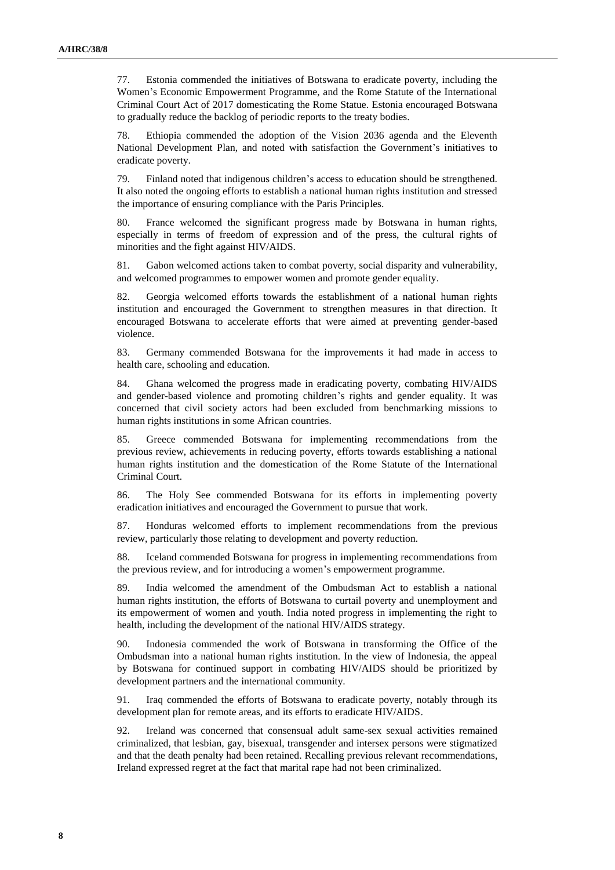77. Estonia commended the initiatives of Botswana to eradicate poverty, including the Women's Economic Empowerment Programme, and the Rome Statute of the International Criminal Court Act of 2017 domesticating the Rome Statue. Estonia encouraged Botswana to gradually reduce the backlog of periodic reports to the treaty bodies.

78. Ethiopia commended the adoption of the Vision 2036 agenda and the Eleventh National Development Plan, and noted with satisfaction the Government's initiatives to eradicate poverty.

79. Finland noted that indigenous children's access to education should be strengthened. It also noted the ongoing efforts to establish a national human rights institution and stressed the importance of ensuring compliance with the Paris Principles.

80. France welcomed the significant progress made by Botswana in human rights, especially in terms of freedom of expression and of the press, the cultural rights of minorities and the fight against HIV/AIDS.

81. Gabon welcomed actions taken to combat poverty, social disparity and vulnerability, and welcomed programmes to empower women and promote gender equality.

82. Georgia welcomed efforts towards the establishment of a national human rights institution and encouraged the Government to strengthen measures in that direction. It encouraged Botswana to accelerate efforts that were aimed at preventing gender-based violence.

83. Germany commended Botswana for the improvements it had made in access to health care, schooling and education.

84. Ghana welcomed the progress made in eradicating poverty, combating HIV/AIDS and gender-based violence and promoting children's rights and gender equality. It was concerned that civil society actors had been excluded from benchmarking missions to human rights institutions in some African countries.

85. Greece commended Botswana for implementing recommendations from the previous review, achievements in reducing poverty, efforts towards establishing a national human rights institution and the domestication of the Rome Statute of the International Criminal Court.

86. The Holy See commended Botswana for its efforts in implementing poverty eradication initiatives and encouraged the Government to pursue that work.

87. Honduras welcomed efforts to implement recommendations from the previous review, particularly those relating to development and poverty reduction.

88. Iceland commended Botswana for progress in implementing recommendations from the previous review, and for introducing a women's empowerment programme.

89. India welcomed the amendment of the Ombudsman Act to establish a national human rights institution, the efforts of Botswana to curtail poverty and unemployment and its empowerment of women and youth. India noted progress in implementing the right to health, including the development of the national HIV/AIDS strategy.

90. Indonesia commended the work of Botswana in transforming the Office of the Ombudsman into a national human rights institution. In the view of Indonesia, the appeal by Botswana for continued support in combating HIV/AIDS should be prioritized by development partners and the international community.

91. Iraq commended the efforts of Botswana to eradicate poverty, notably through its development plan for remote areas, and its efforts to eradicate HIV/AIDS.

92. Ireland was concerned that consensual adult same-sex sexual activities remained criminalized, that lesbian, gay, bisexual, transgender and intersex persons were stigmatized and that the death penalty had been retained. Recalling previous relevant recommendations, Ireland expressed regret at the fact that marital rape had not been criminalized.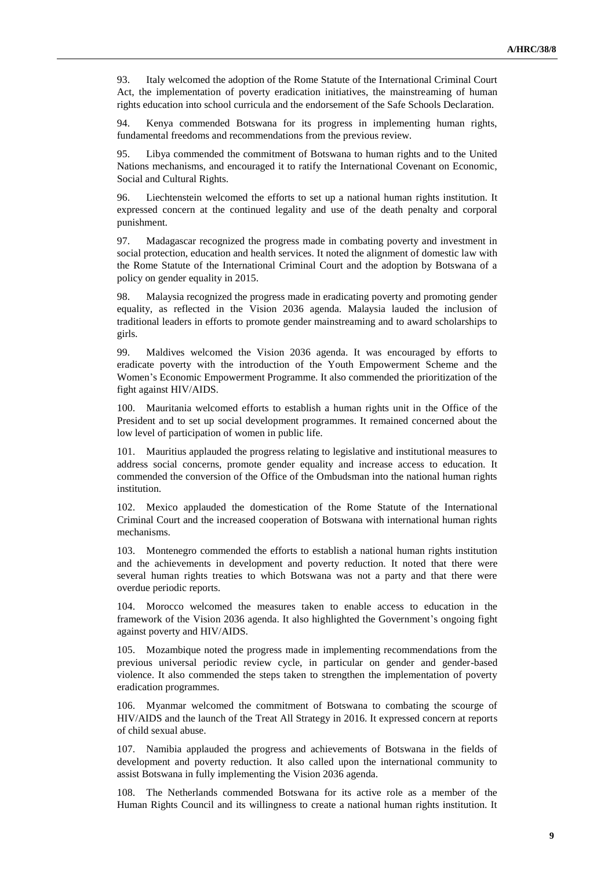93. Italy welcomed the adoption of the Rome Statute of the International Criminal Court Act, the implementation of poverty eradication initiatives, the mainstreaming of human rights education into school curricula and the endorsement of the Safe Schools Declaration.

94. Kenya commended Botswana for its progress in implementing human rights, fundamental freedoms and recommendations from the previous review.

95. Libya commended the commitment of Botswana to human rights and to the United Nations mechanisms, and encouraged it to ratify the International Covenant on Economic, Social and Cultural Rights.

96. Liechtenstein welcomed the efforts to set up a national human rights institution. It expressed concern at the continued legality and use of the death penalty and corporal punishment.

97. Madagascar recognized the progress made in combating poverty and investment in social protection, education and health services. It noted the alignment of domestic law with the Rome Statute of the International Criminal Court and the adoption by Botswana of a policy on gender equality in 2015.

98. Malaysia recognized the progress made in eradicating poverty and promoting gender equality, as reflected in the Vision 2036 agenda. Malaysia lauded the inclusion of traditional leaders in efforts to promote gender mainstreaming and to award scholarships to girls.

99. Maldives welcomed the Vision 2036 agenda. It was encouraged by efforts to eradicate poverty with the introduction of the Youth Empowerment Scheme and the Women's Economic Empowerment Programme. It also commended the prioritization of the fight against HIV/AIDS.

100. Mauritania welcomed efforts to establish a human rights unit in the Office of the President and to set up social development programmes. It remained concerned about the low level of participation of women in public life.

101. Mauritius applauded the progress relating to legislative and institutional measures to address social concerns, promote gender equality and increase access to education. It commended the conversion of the Office of the Ombudsman into the national human rights institution.

102. Mexico applauded the domestication of the Rome Statute of the International Criminal Court and the increased cooperation of Botswana with international human rights mechanisms.

103. Montenegro commended the efforts to establish a national human rights institution and the achievements in development and poverty reduction. It noted that there were several human rights treaties to which Botswana was not a party and that there were overdue periodic reports.

104. Morocco welcomed the measures taken to enable access to education in the framework of the Vision 2036 agenda. It also highlighted the Government's ongoing fight against poverty and HIV/AIDS.

105. Mozambique noted the progress made in implementing recommendations from the previous universal periodic review cycle, in particular on gender and gender-based violence. It also commended the steps taken to strengthen the implementation of poverty eradication programmes.

106. Myanmar welcomed the commitment of Botswana to combating the scourge of HIV/AIDS and the launch of the Treat All Strategy in 2016. It expressed concern at reports of child sexual abuse.

107. Namibia applauded the progress and achievements of Botswana in the fields of development and poverty reduction. It also called upon the international community to assist Botswana in fully implementing the Vision 2036 agenda.

108. The Netherlands commended Botswana for its active role as a member of the Human Rights Council and its willingness to create a national human rights institution. It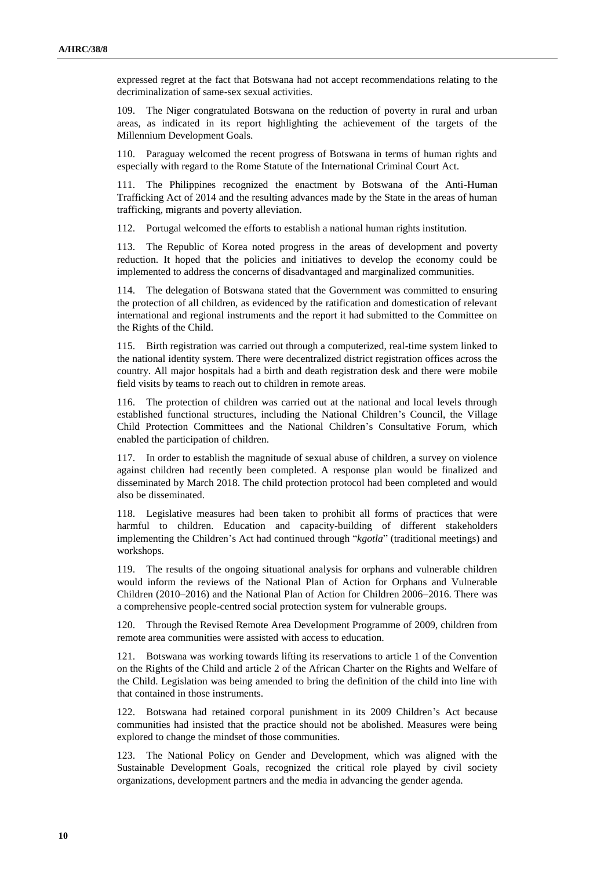expressed regret at the fact that Botswana had not accept recommendations relating to the decriminalization of same-sex sexual activities.

109. The Niger congratulated Botswana on the reduction of poverty in rural and urban areas, as indicated in its report highlighting the achievement of the targets of the Millennium Development Goals.

110. Paraguay welcomed the recent progress of Botswana in terms of human rights and especially with regard to the Rome Statute of the International Criminal Court Act.

111. The Philippines recognized the enactment by Botswana of the Anti-Human Trafficking Act of 2014 and the resulting advances made by the State in the areas of human trafficking, migrants and poverty alleviation.

112. Portugal welcomed the efforts to establish a national human rights institution.

113. The Republic of Korea noted progress in the areas of development and poverty reduction. It hoped that the policies and initiatives to develop the economy could be implemented to address the concerns of disadvantaged and marginalized communities.

The delegation of Botswana stated that the Government was committed to ensuring the protection of all children, as evidenced by the ratification and domestication of relevant international and regional instruments and the report it had submitted to the Committee on the Rights of the Child.

115. Birth registration was carried out through a computerized, real-time system linked to the national identity system. There were decentralized district registration offices across the country. All major hospitals had a birth and death registration desk and there were mobile field visits by teams to reach out to children in remote areas.

116. The protection of children was carried out at the national and local levels through established functional structures, including the National Children's Council, the Village Child Protection Committees and the National Children's Consultative Forum, which enabled the participation of children.

117. In order to establish the magnitude of sexual abuse of children, a survey on violence against children had recently been completed. A response plan would be finalized and disseminated by March 2018. The child protection protocol had been completed and would also be disseminated.

118. Legislative measures had been taken to prohibit all forms of practices that were harmful to children. Education and capacity-building of different stakeholders implementing the Children's Act had continued through "*kgotla*" (traditional meetings) and workshops.

119. The results of the ongoing situational analysis for orphans and vulnerable children would inform the reviews of the National Plan of Action for Orphans and Vulnerable Children (2010–2016) and the National Plan of Action for Children 2006–2016. There was a comprehensive people-centred social protection system for vulnerable groups.

Through the Revised Remote Area Development Programme of 2009, children from remote area communities were assisted with access to education.

121. Botswana was working towards lifting its reservations to article 1 of the Convention on the Rights of the Child and article 2 of the African Charter on the Rights and Welfare of the Child. Legislation was being amended to bring the definition of the child into line with that contained in those instruments.

122. Botswana had retained corporal punishment in its 2009 Children's Act because communities had insisted that the practice should not be abolished. Measures were being explored to change the mindset of those communities.

123. The National Policy on Gender and Development, which was aligned with the Sustainable Development Goals, recognized the critical role played by civil society organizations, development partners and the media in advancing the gender agenda.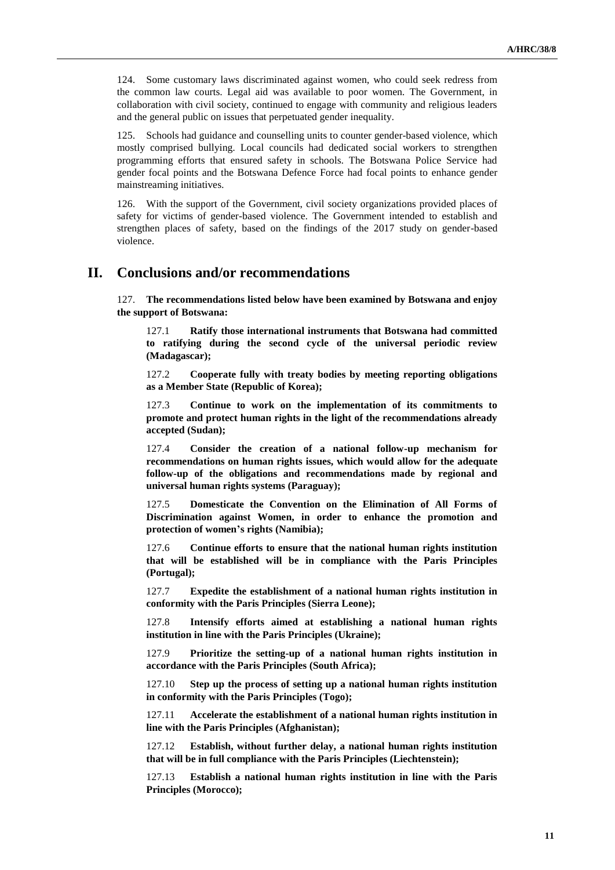124. Some customary laws discriminated against women, who could seek redress from the common law courts. Legal aid was available to poor women. The Government, in collaboration with civil society, continued to engage with community and religious leaders and the general public on issues that perpetuated gender inequality.

125. Schools had guidance and counselling units to counter gender-based violence, which mostly comprised bullying. Local councils had dedicated social workers to strengthen programming efforts that ensured safety in schools. The Botswana Police Service had gender focal points and the Botswana Defence Force had focal points to enhance gender mainstreaming initiatives.

126. With the support of the Government, civil society organizations provided places of safety for victims of gender-based violence. The Government intended to establish and strengthen places of safety, based on the findings of the 2017 study on gender-based violence.

### **II. Conclusions and/or recommendations**

127. **The recommendations listed below have been examined by Botswana and enjoy the support of Botswana:**

127.1 **Ratify those international instruments that Botswana had committed to ratifying during the second cycle of the universal periodic review (Madagascar);**

127.2 **Cooperate fully with treaty bodies by meeting reporting obligations as a Member State (Republic of Korea);**

127.3 **Continue to work on the implementation of its commitments to promote and protect human rights in the light of the recommendations already accepted (Sudan);**

127.4 **Consider the creation of a national follow-up mechanism for recommendations on human rights issues, which would allow for the adequate follow-up of the obligations and recommendations made by regional and universal human rights systems (Paraguay);**

127.5 **Domesticate the Convention on the Elimination of All Forms of Discrimination against Women, in order to enhance the promotion and protection of women's rights (Namibia);**

127.6 **Continue efforts to ensure that the national human rights institution that will be established will be in compliance with the Paris Principles (Portugal);**

127.7 **Expedite the establishment of a national human rights institution in conformity with the Paris Principles (Sierra Leone);**

127.8 **Intensify efforts aimed at establishing a national human rights institution in line with the Paris Principles (Ukraine);**

127.9 **Prioritize the setting-up of a national human rights institution in accordance with the Paris Principles (South Africa);**

127.10 **Step up the process of setting up a national human rights institution in conformity with the Paris Principles (Togo);**

127.11 **Accelerate the establishment of a national human rights institution in line with the Paris Principles (Afghanistan);**

127.12 **Establish, without further delay, a national human rights institution that will be in full compliance with the Paris Principles (Liechtenstein);**

127.13 **Establish a national human rights institution in line with the Paris Principles (Morocco);**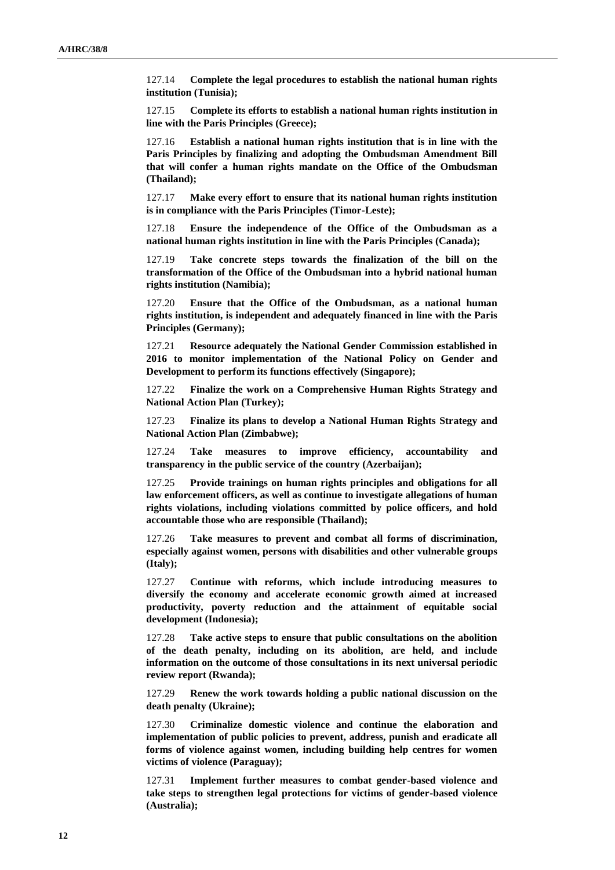127.14 **Complete the legal procedures to establish the national human rights institution (Tunisia);**

127.15 **Complete its efforts to establish a national human rights institution in line with the Paris Principles (Greece);**

127.16 **Establish a national human rights institution that is in line with the Paris Principles by finalizing and adopting the Ombudsman Amendment Bill that will confer a human rights mandate on the Office of the Ombudsman (Thailand);**

127.17 **Make every effort to ensure that its national human rights institution is in compliance with the Paris Principles (Timor-Leste);**

127.18 **Ensure the independence of the Office of the Ombudsman as a national human rights institution in line with the Paris Principles (Canada);**

127.19 **Take concrete steps towards the finalization of the bill on the transformation of the Office of the Ombudsman into a hybrid national human rights institution (Namibia);**

127.20 **Ensure that the Office of the Ombudsman, as a national human rights institution, is independent and adequately financed in line with the Paris Principles (Germany);**

127.21 **Resource adequately the National Gender Commission established in 2016 to monitor implementation of the National Policy on Gender and Development to perform its functions effectively (Singapore);**

127.22 **Finalize the work on a Comprehensive Human Rights Strategy and National Action Plan (Turkey);**

127.23 **Finalize its plans to develop a National Human Rights Strategy and National Action Plan (Zimbabwe);**

127.24 **Take measures to improve efficiency, accountability and transparency in the public service of the country (Azerbaijan);**

127.25 **Provide trainings on human rights principles and obligations for all law enforcement officers, as well as continue to investigate allegations of human rights violations, including violations committed by police officers, and hold accountable those who are responsible (Thailand);**

127.26 **Take measures to prevent and combat all forms of discrimination, especially against women, persons with disabilities and other vulnerable groups (Italy);**

127.27 **Continue with reforms, which include introducing measures to diversify the economy and accelerate economic growth aimed at increased productivity, poverty reduction and the attainment of equitable social development (Indonesia);**

127.28 **Take active steps to ensure that public consultations on the abolition of the death penalty, including on its abolition, are held, and include information on the outcome of those consultations in its next universal periodic review report (Rwanda);**

127.29 **Renew the work towards holding a public national discussion on the death penalty (Ukraine);**

127.30 **Criminalize domestic violence and continue the elaboration and implementation of public policies to prevent, address, punish and eradicate all forms of violence against women, including building help centres for women victims of violence (Paraguay);**

127.31 **Implement further measures to combat gender-based violence and take steps to strengthen legal protections for victims of gender-based violence (Australia);**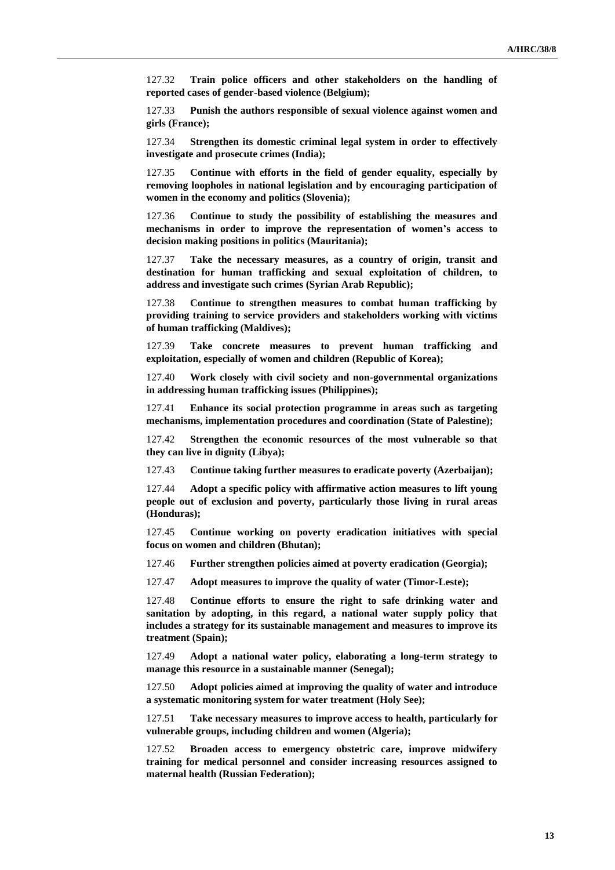127.32 **Train police officers and other stakeholders on the handling of reported cases of gender-based violence (Belgium);**

127.33 **Punish the authors responsible of sexual violence against women and girls (France);**

127.34 **Strengthen its domestic criminal legal system in order to effectively investigate and prosecute crimes (India);**

127.35 **Continue with efforts in the field of gender equality, especially by removing loopholes in national legislation and by encouraging participation of women in the economy and politics (Slovenia);**

127.36 **Continue to study the possibility of establishing the measures and mechanisms in order to improve the representation of women's access to decision making positions in politics (Mauritania);**

127.37 **Take the necessary measures, as a country of origin, transit and destination for human trafficking and sexual exploitation of children, to address and investigate such crimes (Syrian Arab Republic);**

127.38 **Continue to strengthen measures to combat human trafficking by providing training to service providers and stakeholders working with victims of human trafficking (Maldives);**

127.39 **Take concrete measures to prevent human trafficking and exploitation, especially of women and children (Republic of Korea);**

127.40 **Work closely with civil society and non-governmental organizations in addressing human trafficking issues (Philippines);**

127.41 **Enhance its social protection programme in areas such as targeting mechanisms, implementation procedures and coordination (State of Palestine);**

127.42 **Strengthen the economic resources of the most vulnerable so that they can live in dignity (Libya);**

127.43 **Continue taking further measures to eradicate poverty (Azerbaijan);**

127.44 **Adopt a specific policy with affirmative action measures to lift young people out of exclusion and poverty, particularly those living in rural areas (Honduras);**

127.45 **Continue working on poverty eradication initiatives with special focus on women and children (Bhutan);**

127.46 **Further strengthen policies aimed at poverty eradication (Georgia);**

127.47 **Adopt measures to improve the quality of water (Timor-Leste);**

127.48 **Continue efforts to ensure the right to safe drinking water and sanitation by adopting, in this regard, a national water supply policy that includes a strategy for its sustainable management and measures to improve its treatment (Spain);**

127.49 **Adopt a national water policy, elaborating a long-term strategy to manage this resource in a sustainable manner (Senegal);**

127.50 **Adopt policies aimed at improving the quality of water and introduce a systematic monitoring system for water treatment (Holy See);**

127.51 **Take necessary measures to improve access to health, particularly for vulnerable groups, including children and women (Algeria);**

127.52 **Broaden access to emergency obstetric care, improve midwifery training for medical personnel and consider increasing resources assigned to maternal health (Russian Federation);**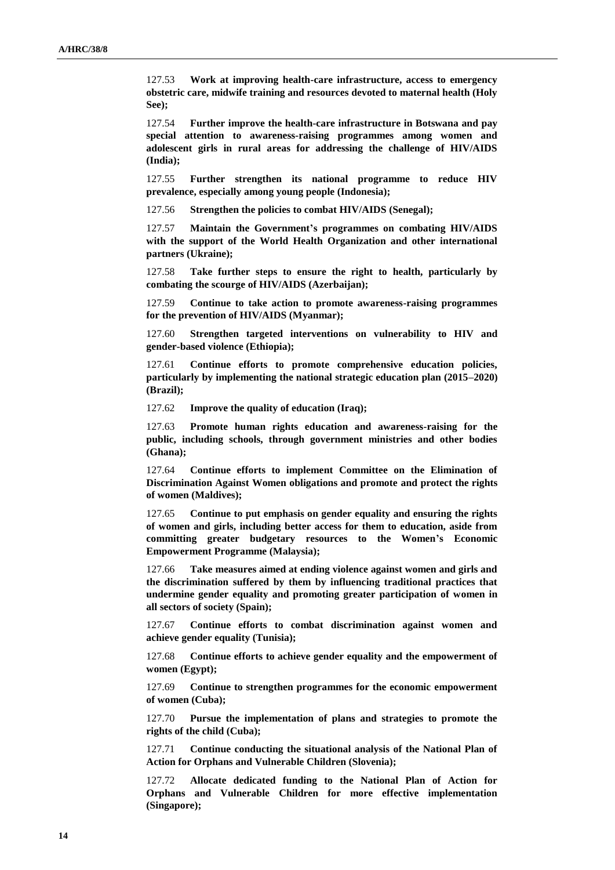127.53 **Work at improving health-care infrastructure, access to emergency obstetric care, midwife training and resources devoted to maternal health (Holy See);**

127.54 **Further improve the health-care infrastructure in Botswana and pay special attention to awareness-raising programmes among women and adolescent girls in rural areas for addressing the challenge of HIV/AIDS (India);**

127.55 **Further strengthen its national programme to reduce HIV prevalence, especially among young people (Indonesia);**

127.56 **Strengthen the policies to combat HIV/AIDS (Senegal);**

127.57 **Maintain the Government's programmes on combating HIV/AIDS with the support of the World Health Organization and other international partners (Ukraine);**

127.58 **Take further steps to ensure the right to health, particularly by combating the scourge of HIV/AIDS (Azerbaijan);**

127.59 **Continue to take action to promote awareness-raising programmes for the prevention of HIV/AIDS (Myanmar);**

127.60 **Strengthen targeted interventions on vulnerability to HIV and gender-based violence (Ethiopia);**

127.61 **Continue efforts to promote comprehensive education policies, particularly by implementing the national strategic education plan (2015–2020) (Brazil);**

127.62 **Improve the quality of education (Iraq);**

127.63 **Promote human rights education and awareness-raising for the public, including schools, through government ministries and other bodies (Ghana);**

127.64 **Continue efforts to implement Committee on the Elimination of Discrimination Against Women obligations and promote and protect the rights of women (Maldives);**

127.65 **Continue to put emphasis on gender equality and ensuring the rights of women and girls, including better access for them to education, aside from committing greater budgetary resources to the Women's Economic Empowerment Programme (Malaysia);**

127.66 **Take measures aimed at ending violence against women and girls and the discrimination suffered by them by influencing traditional practices that undermine gender equality and promoting greater participation of women in all sectors of society (Spain);**

127.67 **Continue efforts to combat discrimination against women and achieve gender equality (Tunisia);**

127.68 **Continue efforts to achieve gender equality and the empowerment of women (Egypt);**

127.69 **Continue to strengthen programmes for the economic empowerment of women (Cuba);**

127.70 **Pursue the implementation of plans and strategies to promote the rights of the child (Cuba);**

127.71 **Continue conducting the situational analysis of the National Plan of Action for Orphans and Vulnerable Children (Slovenia);**

127.72 **Allocate dedicated funding to the National Plan of Action for Orphans and Vulnerable Children for more effective implementation (Singapore);**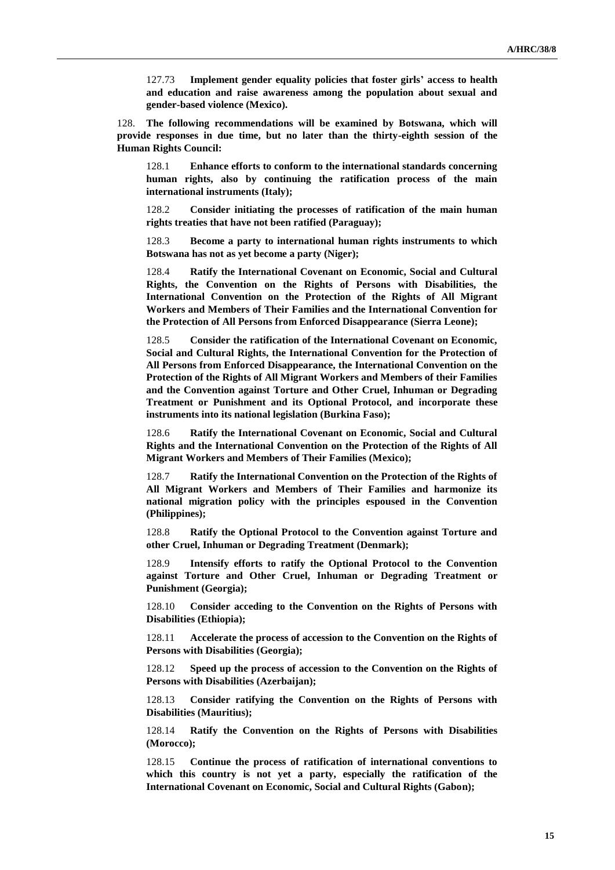127.73 **Implement gender equality policies that foster girls' access to health and education and raise awareness among the population about sexual and gender-based violence (Mexico).**

128. **The following recommendations will be examined by Botswana, which will provide responses in due time, but no later than the thirty-eighth session of the Human Rights Council:**

128.1 **Enhance efforts to conform to the international standards concerning human rights, also by continuing the ratification process of the main international instruments (Italy);**

128.2 **Consider initiating the processes of ratification of the main human rights treaties that have not been ratified (Paraguay);**

128.3 **Become a party to international human rights instruments to which Botswana has not as yet become a party (Niger);**

128.4 **Ratify the International Covenant on Economic, Social and Cultural Rights, the Convention on the Rights of Persons with Disabilities, the International Convention on the Protection of the Rights of All Migrant Workers and Members of Their Families and the International Convention for the Protection of All Persons from Enforced Disappearance (Sierra Leone);**

128.5 **Consider the ratification of the International Covenant on Economic, Social and Cultural Rights, the International Convention for the Protection of All Persons from Enforced Disappearance, the International Convention on the Protection of the Rights of All Migrant Workers and Members of their Families and the Convention against Torture and Other Cruel, Inhuman or Degrading Treatment or Punishment and its Optional Protocol, and incorporate these instruments into its national legislation (Burkina Faso);**

128.6 **Ratify the International Covenant on Economic, Social and Cultural Rights and the International Convention on the Protection of the Rights of All Migrant Workers and Members of Their Families (Mexico);**

128.7 **Ratify the International Convention on the Protection of the Rights of All Migrant Workers and Members of Their Families and harmonize its national migration policy with the principles espoused in the Convention (Philippines);**

128.8 **Ratify the Optional Protocol to the Convention against Torture and other Cruel, Inhuman or Degrading Treatment (Denmark);**

128.9 **Intensify efforts to ratify the Optional Protocol to the Convention against Torture and Other Cruel, Inhuman or Degrading Treatment or Punishment (Georgia);**

128.10 **Consider acceding to the Convention on the Rights of Persons with Disabilities (Ethiopia);**

128.11 **Accelerate the process of accession to the Convention on the Rights of Persons with Disabilities (Georgia);**

128.12 **Speed up the process of accession to the Convention on the Rights of Persons with Disabilities (Azerbaijan);**

128.13 **Consider ratifying the Convention on the Rights of Persons with Disabilities (Mauritius);**

128.14 **Ratify the Convention on the Rights of Persons with Disabilities (Morocco);**

128.15 **Continue the process of ratification of international conventions to which this country is not yet a party, especially the ratification of the International Covenant on Economic, Social and Cultural Rights (Gabon);**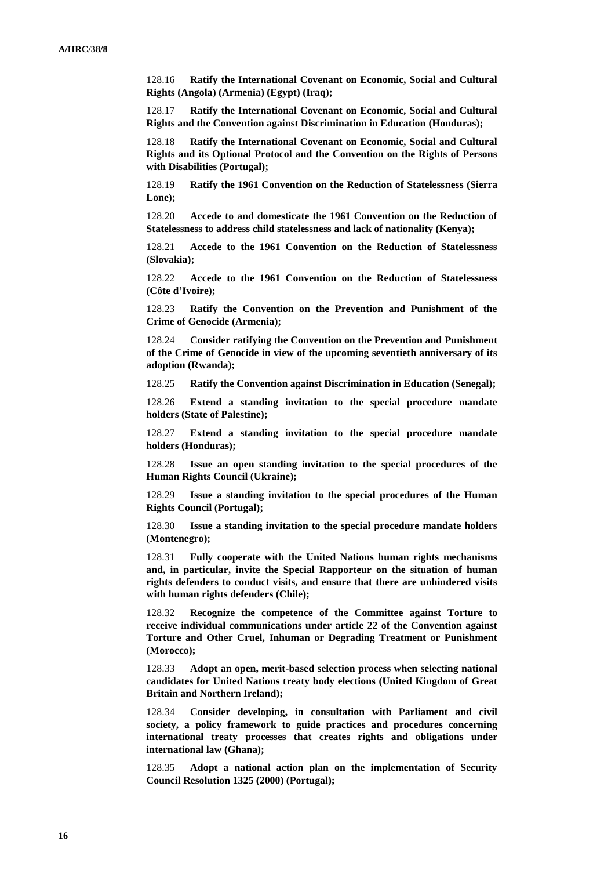128.16 **Ratify the International Covenant on Economic, Social and Cultural Rights (Angola) (Armenia) (Egypt) (Iraq);**

128.17 **Ratify the International Covenant on Economic, Social and Cultural Rights and the Convention against Discrimination in Education (Honduras);**

128.18 **Ratify the International Covenant on Economic, Social and Cultural Rights and its Optional Protocol and the Convention on the Rights of Persons with Disabilities (Portugal);**

128.19 **Ratify the 1961 Convention on the Reduction of Statelessness (Sierra Lone);**

128.20 **Accede to and domesticate the 1961 Convention on the Reduction of Statelessness to address child statelessness and lack of nationality (Kenya);**

128.21 **Accede to the 1961 Convention on the Reduction of Statelessness (Slovakia);**

128.22 **Accede to the 1961 Convention on the Reduction of Statelessness (Côte d'Ivoire);**

128.23 **Ratify the Convention on the Prevention and Punishment of the Crime of Genocide (Armenia);**

128.24 **Consider ratifying the Convention on the Prevention and Punishment of the Crime of Genocide in view of the upcoming seventieth anniversary of its adoption (Rwanda);**

128.25 **Ratify the Convention against Discrimination in Education (Senegal);**

128.26 **Extend a standing invitation to the special procedure mandate holders (State of Palestine);**

128.27 **Extend a standing invitation to the special procedure mandate holders (Honduras);**

128.28 **Issue an open standing invitation to the special procedures of the Human Rights Council (Ukraine);**

128.29 **Issue a standing invitation to the special procedures of the Human Rights Council (Portugal);**

128.30 **Issue a standing invitation to the special procedure mandate holders (Montenegro);**

128.31 **Fully cooperate with the United Nations human rights mechanisms and, in particular, invite the Special Rapporteur on the situation of human rights defenders to conduct visits, and ensure that there are unhindered visits with human rights defenders (Chile);**

128.32 **Recognize the competence of the Committee against Torture to receive individual communications under article 22 of the Convention against Torture and Other Cruel, Inhuman or Degrading Treatment or Punishment (Morocco);**

128.33 **Adopt an open, merit-based selection process when selecting national candidates for United Nations treaty body elections (United Kingdom of Great Britain and Northern Ireland);**

128.34 **Consider developing, in consultation with Parliament and civil society, a policy framework to guide practices and procedures concerning international treaty processes that creates rights and obligations under international law (Ghana);**

128.35 **Adopt a national action plan on the implementation of Security Council Resolution 1325 (2000) (Portugal);**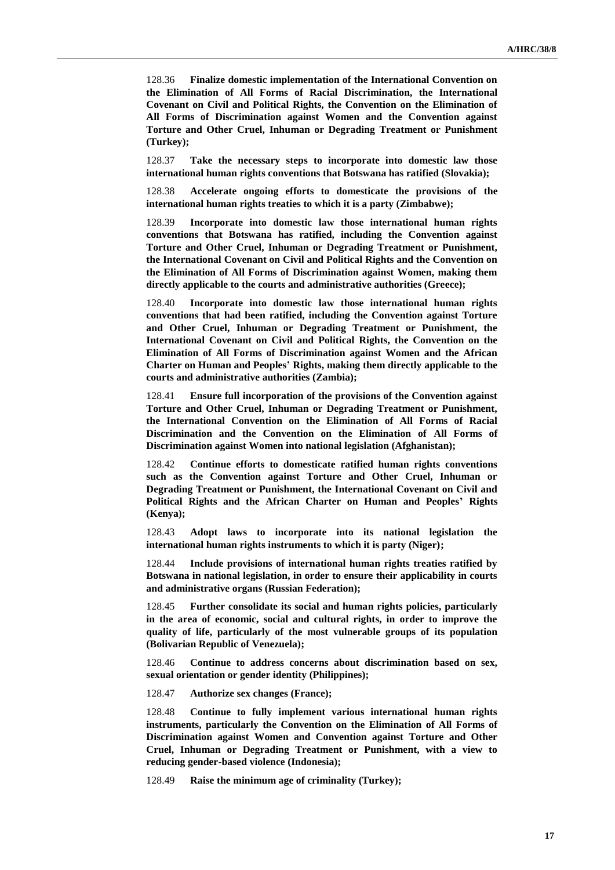128.36 **Finalize domestic implementation of the International Convention on the Elimination of All Forms of Racial Discrimination, the International Covenant on Civil and Political Rights, the Convention on the Elimination of All Forms of Discrimination against Women and the Convention against Torture and Other Cruel, Inhuman or Degrading Treatment or Punishment (Turkey);**

128.37 **Take the necessary steps to incorporate into domestic law those international human rights conventions that Botswana has ratified (Slovakia);**

128.38 **Accelerate ongoing efforts to domesticate the provisions of the international human rights treaties to which it is a party (Zimbabwe);**

128.39 **Incorporate into domestic law those international human rights conventions that Botswana has ratified, including the Convention against Torture and Other Cruel, Inhuman or Degrading Treatment or Punishment, the International Covenant on Civil and Political Rights and the Convention on the Elimination of All Forms of Discrimination against Women, making them directly applicable to the courts and administrative authorities (Greece);**

128.40 **Incorporate into domestic law those international human rights conventions that had been ratified, including the Convention against Torture and Other Cruel, Inhuman or Degrading Treatment or Punishment, the International Covenant on Civil and Political Rights, the Convention on the Elimination of All Forms of Discrimination against Women and the African Charter on Human and Peoples' Rights, making them directly applicable to the courts and administrative authorities (Zambia);**

128.41 **Ensure full incorporation of the provisions of the Convention against Torture and Other Cruel, Inhuman or Degrading Treatment or Punishment, the International Convention on the Elimination of All Forms of Racial Discrimination and the Convention on the Elimination of All Forms of Discrimination against Women into national legislation (Afghanistan);**

128.42 **Continue efforts to domesticate ratified human rights conventions such as the Convention against Torture and Other Cruel, Inhuman or Degrading Treatment or Punishment, the International Covenant on Civil and Political Rights and the African Charter on Human and Peoples' Rights (Kenya);**

128.43 **Adopt laws to incorporate into its national legislation the international human rights instruments to which it is party (Niger);**

128.44 **Include provisions of international human rights treaties ratified by Botswana in national legislation, in order to ensure their applicability in courts and administrative organs (Russian Federation);**

128.45 **Further consolidate its social and human rights policies, particularly in the area of economic, social and cultural rights, in order to improve the quality of life, particularly of the most vulnerable groups of its population (Bolivarian Republic of Venezuela);**

128.46 **Continue to address concerns about discrimination based on sex, sexual orientation or gender identity (Philippines);**

128.47 **Authorize sex changes (France);**

128.48 **Continue to fully implement various international human rights instruments, particularly the Convention on the Elimination of All Forms of Discrimination against Women and Convention against Torture and Other Cruel, Inhuman or Degrading Treatment or Punishment, with a view to reducing gender-based violence (Indonesia);**

128.49 **Raise the minimum age of criminality (Turkey);**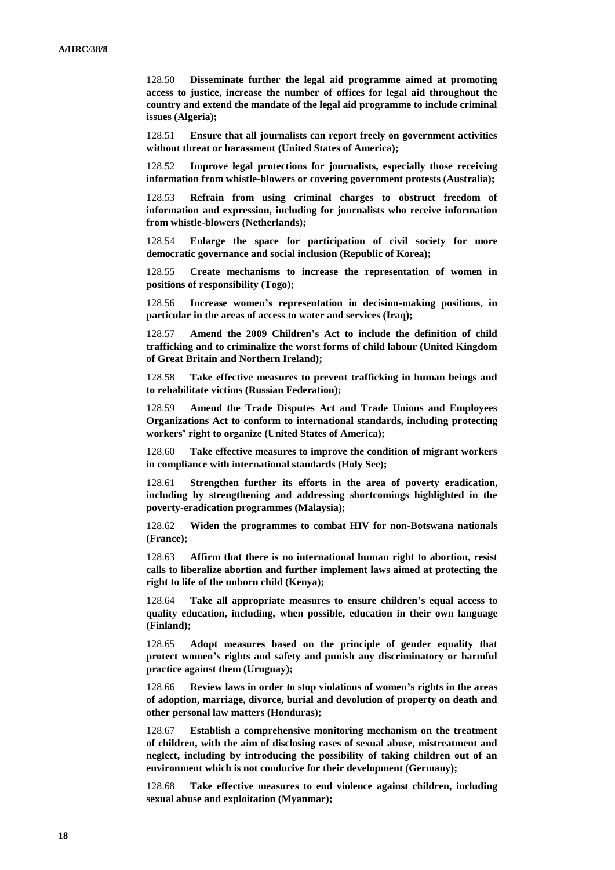128.50 **Disseminate further the legal aid programme aimed at promoting access to justice, increase the number of offices for legal aid throughout the country and extend the mandate of the legal aid programme to include criminal issues (Algeria);**

128.51 **Ensure that all journalists can report freely on government activities without threat or harassment (United States of America);**

128.52 **Improve legal protections for journalists, especially those receiving information from whistle-blowers or covering government protests (Australia);**

128.53 **Refrain from using criminal charges to obstruct freedom of information and expression, including for journalists who receive information from whistle-blowers (Netherlands);**

128.54 **Enlarge the space for participation of civil society for more democratic governance and social inclusion (Republic of Korea);**

128.55 **Create mechanisms to increase the representation of women in positions of responsibility (Togo);**

128.56 **Increase women's representation in decision-making positions, in particular in the areas of access to water and services (Iraq);**

128.57 **Amend the 2009 Children's Act to include the definition of child trafficking and to criminalize the worst forms of child labour (United Kingdom of Great Britain and Northern Ireland);**

128.58 **Take effective measures to prevent trafficking in human beings and to rehabilitate victims (Russian Federation);**

128.59 **Amend the Trade Disputes Act and Trade Unions and Employees Organizations Act to conform to international standards, including protecting workers' right to organize (United States of America);**

128.60 **Take effective measures to improve the condition of migrant workers in compliance with international standards (Holy See);**

128.61 **Strengthen further its efforts in the area of poverty eradication, including by strengthening and addressing shortcomings highlighted in the poverty-eradication programmes (Malaysia);**

128.62 **Widen the programmes to combat HIV for non-Botswana nationals (France);**

128.63 **Affirm that there is no international human right to abortion, resist calls to liberalize abortion and further implement laws aimed at protecting the right to life of the unborn child (Kenya);**

128.64 **Take all appropriate measures to ensure children's equal access to quality education, including, when possible, education in their own language (Finland);**

128.65 **Adopt measures based on the principle of gender equality that protect women's rights and safety and punish any discriminatory or harmful practice against them (Uruguay);**

128.66 **Review laws in order to stop violations of women's rights in the areas of adoption, marriage, divorce, burial and devolution of property on death and other personal law matters (Honduras);**

128.67 **Establish a comprehensive monitoring mechanism on the treatment of children, with the aim of disclosing cases of sexual abuse, mistreatment and neglect, including by introducing the possibility of taking children out of an environment which is not conducive for their development (Germany);**

128.68 **Take effective measures to end violence against children, including sexual abuse and exploitation (Myanmar);**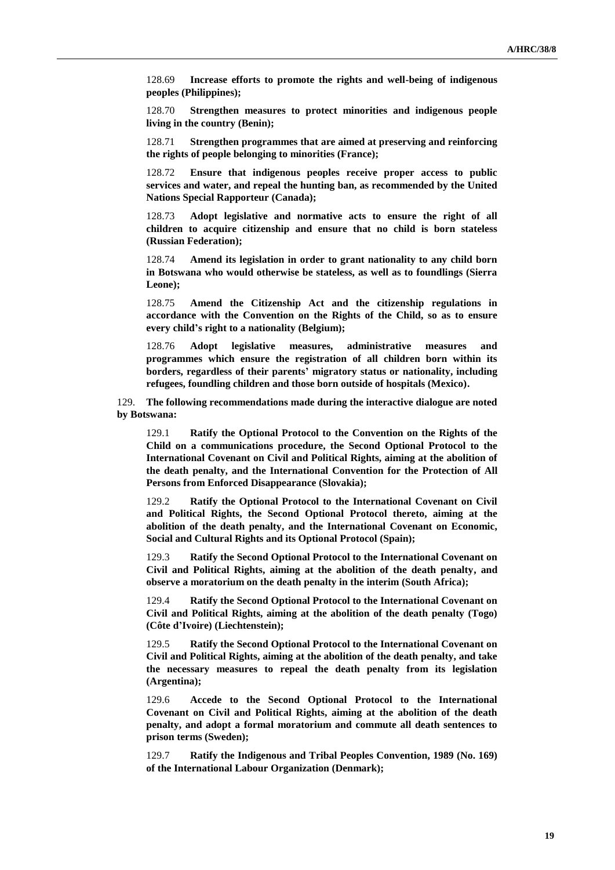128.69 **Increase efforts to promote the rights and well-being of indigenous peoples (Philippines);**

128.70 **Strengthen measures to protect minorities and indigenous people living in the country (Benin);**

128.71 **Strengthen programmes that are aimed at preserving and reinforcing the rights of people belonging to minorities (France);**

128.72 **Ensure that indigenous peoples receive proper access to public services and water, and repeal the hunting ban, as recommended by the United Nations Special Rapporteur (Canada);**

128.73 **Adopt legislative and normative acts to ensure the right of all children to acquire citizenship and ensure that no child is born stateless (Russian Federation);**

128.74 **Amend its legislation in order to grant nationality to any child born in Botswana who would otherwise be stateless, as well as to foundlings (Sierra Leone);**

128.75 **Amend the Citizenship Act and the citizenship regulations in accordance with the Convention on the Rights of the Child, so as to ensure every child's right to a nationality (Belgium);**

128.76 **Adopt legislative measures, administrative measures and programmes which ensure the registration of all children born within its borders, regardless of their parents' migratory status or nationality, including refugees, foundling children and those born outside of hospitals (Mexico).**

129. **The following recommendations made during the interactive dialogue are noted by Botswana:**

129.1 **Ratify the Optional Protocol to the Convention on the Rights of the Child on a communications procedure, the Second Optional Protocol to the International Covenant on Civil and Political Rights, aiming at the abolition of the death penalty, and the International Convention for the Protection of All Persons from Enforced Disappearance (Slovakia);**

129.2 **Ratify the Optional Protocol to the International Covenant on Civil and Political Rights, the Second Optional Protocol thereto, aiming at the abolition of the death penalty, and the International Covenant on Economic, Social and Cultural Rights and its Optional Protocol (Spain);**

129.3 **Ratify the Second Optional Protocol to the International Covenant on Civil and Political Rights, aiming at the abolition of the death penalty, and observe a moratorium on the death penalty in the interim (South Africa);**

129.4 **Ratify the Second Optional Protocol to the International Covenant on Civil and Political Rights, aiming at the abolition of the death penalty (Togo) (Côte d'Ivoire) (Liechtenstein);**

129.5 **Ratify the Second Optional Protocol to the International Covenant on Civil and Political Rights, aiming at the abolition of the death penalty, and take the necessary measures to repeal the death penalty from its legislation (Argentina);**

129.6 **Accede to the Second Optional Protocol to the International Covenant on Civil and Political Rights, aiming at the abolition of the death penalty, and adopt a formal moratorium and commute all death sentences to prison terms (Sweden);**

129.7 **Ratify the Indigenous and Tribal Peoples Convention, 1989 (No. 169) of the International Labour Organization (Denmark);**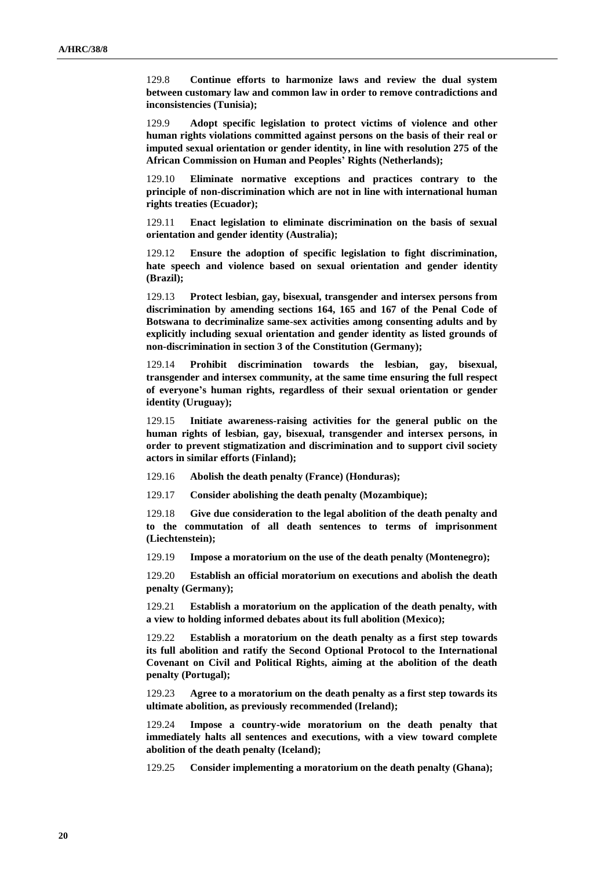129.8 **Continue efforts to harmonize laws and review the dual system between customary law and common law in order to remove contradictions and inconsistencies (Tunisia);**

129.9 **Adopt specific legislation to protect victims of violence and other human rights violations committed against persons on the basis of their real or imputed sexual orientation or gender identity, in line with resolution 275 of the African Commission on Human and Peoples' Rights (Netherlands);**

129.10 **Eliminate normative exceptions and practices contrary to the principle of non-discrimination which are not in line with international human rights treaties (Ecuador);**

129.11 **Enact legislation to eliminate discrimination on the basis of sexual orientation and gender identity (Australia);**

129.12 **Ensure the adoption of specific legislation to fight discrimination, hate speech and violence based on sexual orientation and gender identity (Brazil);**

129.13 **Protect lesbian, gay, bisexual, transgender and intersex persons from discrimination by amending sections 164, 165 and 167 of the Penal Code of Botswana to decriminalize same-sex activities among consenting adults and by explicitly including sexual orientation and gender identity as listed grounds of non-discrimination in section 3 of the Constitution (Germany);**

129.14 **Prohibit discrimination towards the lesbian, gay, bisexual, transgender and intersex community, at the same time ensuring the full respect of everyone's human rights, regardless of their sexual orientation or gender identity (Uruguay);**

129.15 **Initiate awareness-raising activities for the general public on the human rights of lesbian, gay, bisexual, transgender and intersex persons, in order to prevent stigmatization and discrimination and to support civil society actors in similar efforts (Finland);**

129.16 **Abolish the death penalty (France) (Honduras);**

129.17 **Consider abolishing the death penalty (Mozambique);**

129.18 **Give due consideration to the legal abolition of the death penalty and to the commutation of all death sentences to terms of imprisonment (Liechtenstein);**

129.19 **Impose a moratorium on the use of the death penalty (Montenegro);**

129.20 **Establish an official moratorium on executions and abolish the death penalty (Germany);**

129.21 **Establish a moratorium on the application of the death penalty, with a view to holding informed debates about its full abolition (Mexico);**

129.22 **Establish a moratorium on the death penalty as a first step towards its full abolition and ratify the Second Optional Protocol to the International Covenant on Civil and Political Rights, aiming at the abolition of the death penalty (Portugal);**

129.23 **Agree to a moratorium on the death penalty as a first step towards its ultimate abolition, as previously recommended (Ireland);**

129.24 **Impose a country-wide moratorium on the death penalty that immediately halts all sentences and executions, with a view toward complete abolition of the death penalty (Iceland);**

129.25 **Consider implementing a moratorium on the death penalty (Ghana);**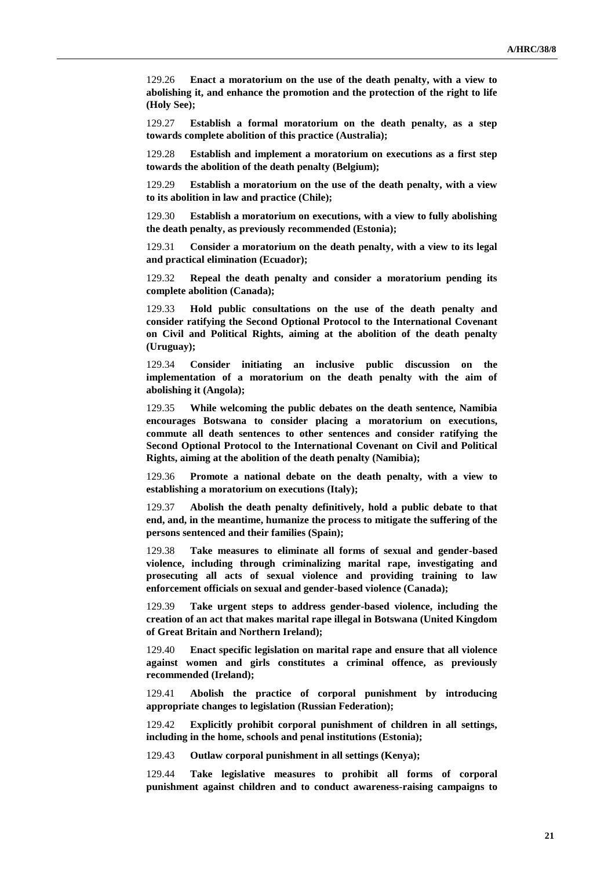129.26 **Enact a moratorium on the use of the death penalty, with a view to abolishing it, and enhance the promotion and the protection of the right to life (Holy See);**

129.27 **Establish a formal moratorium on the death penalty, as a step towards complete abolition of this practice (Australia);**

129.28 **Establish and implement a moratorium on executions as a first step towards the abolition of the death penalty (Belgium);**

129.29 **Establish a moratorium on the use of the death penalty, with a view to its abolition in law and practice (Chile);**

129.30 **Establish a moratorium on executions, with a view to fully abolishing the death penalty, as previously recommended (Estonia);**

129.31 **Consider a moratorium on the death penalty, with a view to its legal and practical elimination (Ecuador);**

129.32 **Repeal the death penalty and consider a moratorium pending its complete abolition (Canada);**

129.33 **Hold public consultations on the use of the death penalty and consider ratifying the Second Optional Protocol to the International Covenant on Civil and Political Rights, aiming at the abolition of the death penalty (Uruguay);**

129.34 **Consider initiating an inclusive public discussion on the implementation of a moratorium on the death penalty with the aim of abolishing it (Angola);**

129.35 **While welcoming the public debates on the death sentence, Namibia encourages Botswana to consider placing a moratorium on executions, commute all death sentences to other sentences and consider ratifying the Second Optional Protocol to the International Covenant on Civil and Political Rights, aiming at the abolition of the death penalty (Namibia);**

129.36 **Promote a national debate on the death penalty, with a view to establishing a moratorium on executions (Italy);**

129.37 **Abolish the death penalty definitively, hold a public debate to that end, and, in the meantime, humanize the process to mitigate the suffering of the persons sentenced and their families (Spain);**

129.38 **Take measures to eliminate all forms of sexual and gender-based violence, including through criminalizing marital rape, investigating and prosecuting all acts of sexual violence and providing training to law enforcement officials on sexual and gender-based violence (Canada);**

129.39 **Take urgent steps to address gender-based violence, including the creation of an act that makes marital rape illegal in Botswana (United Kingdom of Great Britain and Northern Ireland);**

129.40 **Enact specific legislation on marital rape and ensure that all violence against women and girls constitutes a criminal offence, as previously recommended (Ireland);**

129.41 **Abolish the practice of corporal punishment by introducing appropriate changes to legislation (Russian Federation);**

129.42 **Explicitly prohibit corporal punishment of children in all settings, including in the home, schools and penal institutions (Estonia);**

129.43 **Outlaw corporal punishment in all settings (Kenya);**

129.44 **Take legislative measures to prohibit all forms of corporal punishment against children and to conduct awareness-raising campaigns to**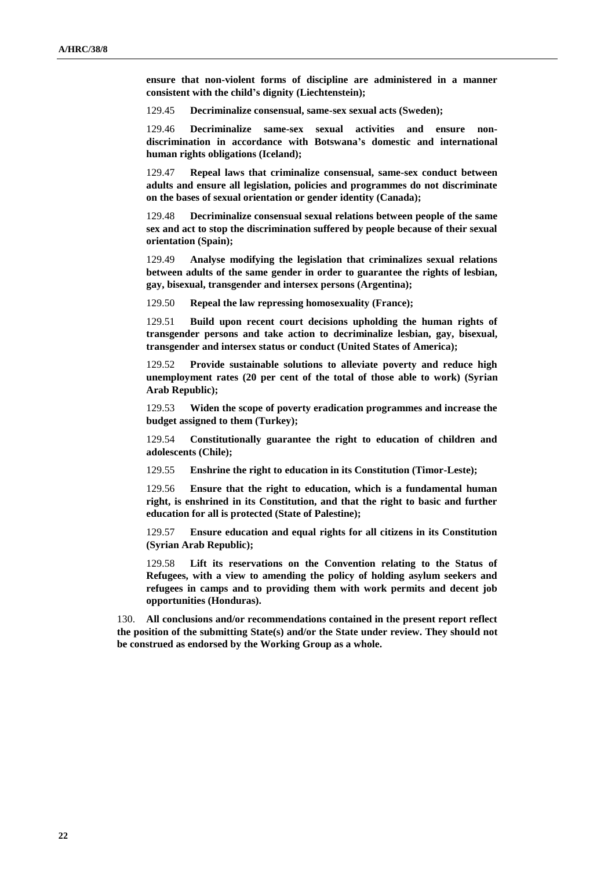**ensure that non-violent forms of discipline are administered in a manner consistent with the child's dignity (Liechtenstein);**

129.45 **Decriminalize consensual, same-sex sexual acts (Sweden);**

129.46 **Decriminalize same-sex sexual activities and ensure nondiscrimination in accordance with Botswana's domestic and international human rights obligations (Iceland);**

129.47 **Repeal laws that criminalize consensual, same-sex conduct between adults and ensure all legislation, policies and programmes do not discriminate on the bases of sexual orientation or gender identity (Canada);**

129.48 **Decriminalize consensual sexual relations between people of the same sex and act to stop the discrimination suffered by people because of their sexual orientation (Spain);**

129.49 **Analyse modifying the legislation that criminalizes sexual relations between adults of the same gender in order to guarantee the rights of lesbian, gay, bisexual, transgender and intersex persons (Argentina);**

129.50 **Repeal the law repressing homosexuality (France);**

129.51 **Build upon recent court decisions upholding the human rights of transgender persons and take action to decriminalize lesbian, gay, bisexual, transgender and intersex status or conduct (United States of America);**

129.52 **Provide sustainable solutions to alleviate poverty and reduce high unemployment rates (20 per cent of the total of those able to work) (Syrian Arab Republic);**

129.53 **Widen the scope of poverty eradication programmes and increase the budget assigned to them (Turkey);**

129.54 **Constitutionally guarantee the right to education of children and adolescents (Chile);**

129.55 **Enshrine the right to education in its Constitution (Timor-Leste);**

129.56 **Ensure that the right to education, which is a fundamental human right, is enshrined in its Constitution, and that the right to basic and further education for all is protected (State of Palestine);**

129.57 **Ensure education and equal rights for all citizens in its Constitution (Syrian Arab Republic);**

129.58 **Lift its reservations on the Convention relating to the Status of Refugees, with a view to amending the policy of holding asylum seekers and refugees in camps and to providing them with work permits and decent job opportunities (Honduras).**

130. **All conclusions and/or recommendations contained in the present report reflect the position of the submitting State(s) and/or the State under review. They should not be construed as endorsed by the Working Group as a whole.**